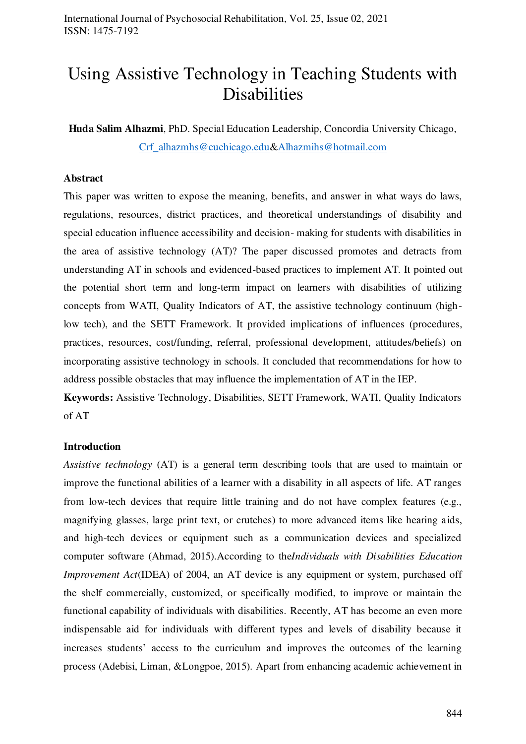# Using Assistive Technology in Teaching Students with Disabilities

**Huda Salim Alhazmi**, PhD. Special Education Leadership, Concordia University Chicago, Crf alhazmhs@cuchicago.edu[&Alhazmihs@hotmail.com](mailto:Alhazmihs@hotmail.com)

### **Abstract**

This paper was written to expose the meaning, benefits, and answer in what ways do laws, regulations, resources, district practices, and theoretical understandings of disability and special education influence accessibility and decision- making for students with disabilities in the area of assistive technology (AT)? The paper discussed promotes and detracts from understanding AT in schools and evidenced-based practices to implement AT. It pointed out the potential short term and long-term impact on learners with disabilities of utilizing concepts from WATI, Quality Indicators of AT, the assistive technology continuum (highlow tech), and the SETT Framework. It provided implications of influences (procedures, practices, resources, cost/funding, referral, professional development, attitudes/beliefs) on incorporating assistive technology in schools. It concluded that recommendations for how to address possible obstacles that may influence the implementation of AT in the IEP.

**Keywords:** Assistive Technology, Disabilities, SETT Framework, WATI, Quality Indicators of AT

#### **Introduction**

*Assistive technology* (AT) is a general term describing tools that are used to maintain or improve the functional abilities of a learner with a disability in all aspects of life. AT ranges from low-tech devices that require little training and do not have complex features (e.g., magnifying glasses, large print text, or crutches) to more advanced items like hearing aids, and high-tech devices or equipment such as a communication devices and specialized computer software (Ahmad, 2015).According to the*Individuals with Disabilities Education Improvement Act*(IDEA) of 2004, an AT device is any equipment or system, purchased off the shelf commercially, customized, or specifically modified, to improve or maintain the functional capability of individuals with disabilities. Recently, AT has become an even more indispensable aid for individuals with different types and levels of disability because it increases students' access to the curriculum and improves the outcomes of the learning process (Adebisi, Liman, &Longpoe, 2015). Apart from enhancing academic achievement in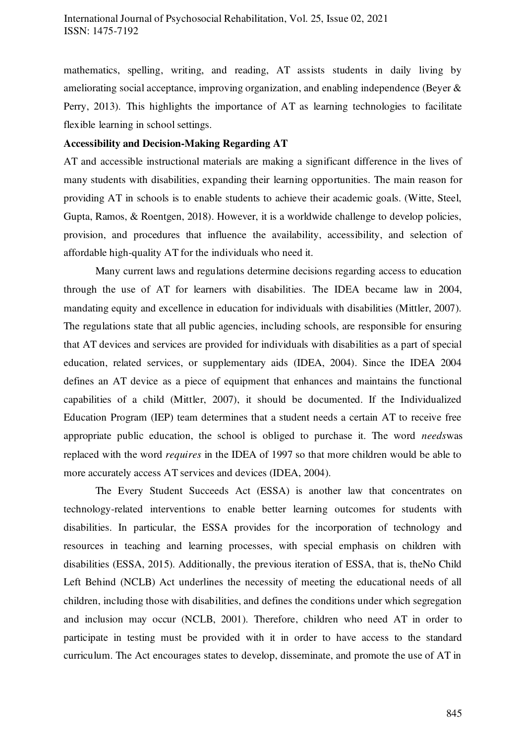mathematics, spelling, writing, and reading, AT assists students in daily living by ameliorating social acceptance, improving organization, and enabling independence (Beyer & Perry, 2013). This highlights the importance of AT as learning technologies to facilitate flexible learning in school settings.

## **Accessibility and Decision-Making Regarding AT**

AT and accessible instructional materials are making a significant difference in the lives of many students with disabilities, expanding their learning opportunities. The main reason for providing AT in schools is to enable students to achieve their academic goals. (Witte, Steel, Gupta, Ramos, & Roentgen, 2018). However, it is a worldwide challenge to develop policies, provision, and procedures that influence the availability, accessibility, and selection of affordable high-quality AT for the individuals who need it.

Many current laws and regulations determine decisions regarding access to education through the use of AT for learners with disabilities. The IDEA became law in 2004, mandating equity and excellence in education for individuals with disabilities (Mittler, 2007). The regulations state that all public agencies, including schools, are responsible for ensuring that AT devices and services are provided for individuals with disabilities as a part of special education, related services, or supplementary aids (IDEA, 2004). Since the IDEA 2004 defines an AT device as a piece of equipment that enhances and maintains the functional capabilities of a child (Mittler, 2007), it should be documented. If the Individualized Education Program (IEP) team determines that a student needs a certain AT to receive free appropriate public education, the school is obliged to purchase it. The word *needs*was replaced with the word *requires* in the IDEA of 1997 so that more children would be able to more accurately access AT services and devices (IDEA, 2004).

The Every Student Succeeds Act (ESSA) is another law that concentrates on technology-related interventions to enable better learning outcomes for students with disabilities. In particular, the ESSA provides for the incorporation of technology and resources in teaching and learning processes, with special emphasis on children with disabilities (ESSA, 2015). Additionally, the previous iteration of ESSA, that is, theNo Child Left Behind (NCLB) Act underlines the necessity of meeting the educational needs of all children, including those with disabilities, and defines the conditions under which segregation and inclusion may occur (NCLB, 2001). Therefore, children who need AT in order to participate in testing must be provided with it in order to have access to the standard curriculum. The Act encourages states to develop, disseminate, and promote the use of AT in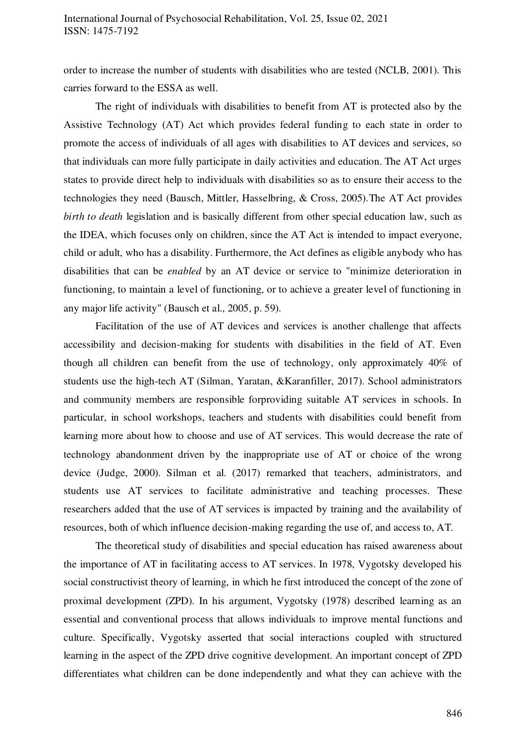order to increase the number of students with disabilities who are tested (NCLB, 2001). This carries forward to the ESSA as well.

The right of individuals with disabilities to benefit from AT is protected also by the Assistive Technology (AT) Act which provides federal funding to each state in order to promote the access of individuals of all ages with disabilities to AT devices and services, so that individuals can more fully participate in daily activities and education. The AT Act urges states to provide direct help to individuals with disabilities so as to ensure their access to the technologies they need (Bausch, Mittler, Hasselbring, & Cross, 2005).The AT Act provides *birth to death* legislation and is basically different from other special education law, such as the IDEA, which focuses only on children, since the AT Act is intended to impact everyone, child or adult, who has a disability. Furthermore, the Act defines as eligible anybody who has disabilities that can be *enabled* by an AT device or service to "minimize deterioration in functioning, to maintain a level of functioning, or to achieve a greater level of functioning in any major life activity" (Bausch et al., 2005, p. 59).

Facilitation of the use of AT devices and services is another challenge that affects accessibility and decision-making for students with disabilities in the field of AT. Even though all children can benefit from the use of technology, only approximately 40% of students use the high-tech AT (Silman, Yaratan, &Karanfiller, 2017). School administrators and community members are responsible forproviding suitable AT services in schools. In particular, in school workshops, teachers and students with disabilities could benefit from learning more about how to choose and use of AT services. This would decrease the rate of technology abandonment driven by the inappropriate use of AT or choice of the wrong device (Judge, 2000). Silman et al. (2017) remarked that teachers, administrators, and students use AT services to facilitate administrative and teaching processes. These researchers added that the use of AT services is impacted by training and the availability of resources, both of which influence decision-making regarding the use of, and access to, AT.

The theoretical study of disabilities and special education has raised awareness about the importance of AT in facilitating access to AT services. In 1978, Vygotsky developed his social constructivist theory of learning, in which he first introduced the concept of the zone of proximal development (ZPD). In his argument, Vygotsky (1978) described learning as an essential and conventional process that allows individuals to improve mental functions and culture. Specifically, Vygotsky asserted that social interactions coupled with structured learning in the aspect of the ZPD drive cognitive development. An important concept of ZPD differentiates what children can be done independently and what they can achieve with the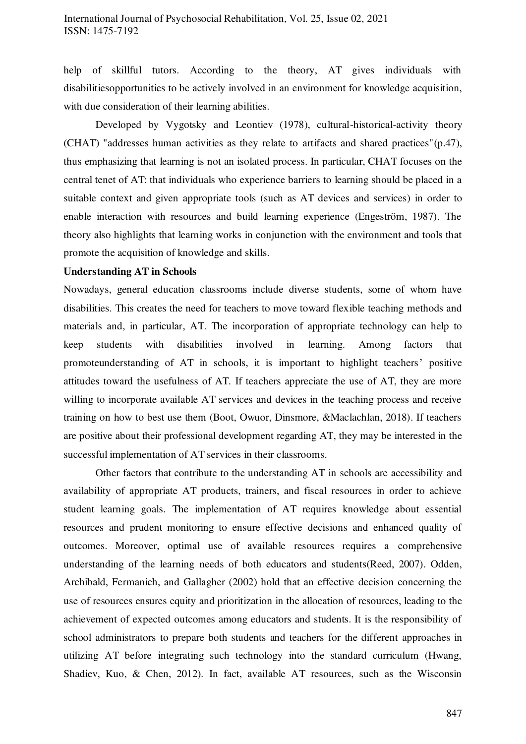help of skillful tutors. According to the theory, AT gives individuals with disabilitiesopportunities to be actively involved in an environment for knowledge acquisition, with due consideration of their learning abilities.

Developed by Vygotsky and Leontiev (1978), cultural-historical-activity theory (CHAT) "addresses human activities as they relate to artifacts and shared practices"(p.47), thus emphasizing that learning is not an isolated process. In particular, CHAT focuses on the central tenet of AT: that individuals who experience barriers to learning should be placed in a suitable context and given appropriate tools (such as AT devices and services) in order to enable interaction with resources and build learning experience (Engeström, 1987). The theory also highlights that learning works in conjunction with the environment and tools that promote the acquisition of knowledge and skills.

## **Understanding AT in Schools**

Nowadays, general education classrooms include diverse students, some of whom have disabilities. This creates the need for teachers to move toward flexible teaching methods and materials and, in particular, AT. The incorporation of appropriate technology can help to keep students with disabilities involved in learning. Among factors that promoteunderstanding of AT in schools, it is important to highlight teachers' positive attitudes toward the usefulness of AT. If teachers appreciate the use of AT, they are more willing to incorporate available AT services and devices in the teaching process and receive training on how to best use them (Boot, Owuor, Dinsmore, &Maclachlan, 2018). If teachers are positive about their professional development regarding AT, they may be interested in the successful implementation of AT services in their classrooms.

Other factors that contribute to the understanding AT in schools are accessibility and availability of appropriate AT products, trainers, and fiscal resources in order to achieve student learning goals. The implementation of AT requires knowledge about essential resources and prudent monitoring to ensure effective decisions and enhanced quality of outcomes. Moreover, optimal use of available resources requires a comprehensive understanding of the learning needs of both educators and students(Reed, 2007). Odden, Archibald, Fermanich, and Gallagher (2002) hold that an effective decision concerning the use of resources ensures equity and prioritization in the allocation of resources, leading to the achievement of expected outcomes among educators and students. It is the responsibility of school administrators to prepare both students and teachers for the different approaches in utilizing AT before integrating such technology into the standard curriculum (Hwang, Shadiev, Kuo, & Chen, 2012). In fact, available AT resources, such as the Wisconsin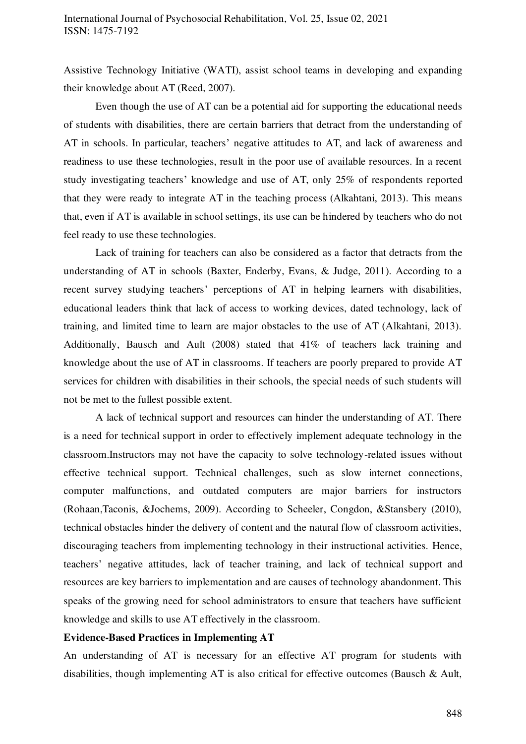Assistive Technology Initiative (WATI), assist school teams in developing and expanding their knowledge about AT (Reed, 2007).

Even though the use of AT can be a potential aid for supporting the educational needs of students with disabilities, there are certain barriers that detract from the understanding of AT in schools. In particular, teachers' negative attitudes to AT, and lack of awareness and readiness to use these technologies, result in the poor use of available resources. In a recent study investigating teachers' knowledge and use of AT, only 25% of respondents reported that they were ready to integrate AT in the teaching process (Alkahtani, 2013). This means that, even if AT is available in school settings, its use can be hindered by teachers who do not feel ready to use these technologies.

Lack of training for teachers can also be considered as a factor that detracts from the understanding of AT in schools (Baxter, Enderby, Evans, & Judge, 2011). According to a recent survey studying teachers' perceptions of AT in helping learners with disabilities, educational leaders think that lack of access to working devices, dated technology, lack of training, and limited time to learn are major obstacles to the use of AT (Alkahtani, 2013). Additionally, Bausch and Ault (2008) stated that 41% of teachers lack training and knowledge about the use of AT in classrooms. If teachers are poorly prepared to provide AT services for children with disabilities in their schools, the special needs of such students will not be met to the fullest possible extent.

A lack of technical support and resources can hinder the understanding of AT. There is a need for technical support in order to effectively implement adequate technology in the classroom.Instructors may not have the capacity to solve technology-related issues without effective technical support. Technical challenges, such as slow internet connections, computer malfunctions, and outdated computers are major barriers for instructors (Rohaan,Taconis, &Jochems, 2009). According to Scheeler, Congdon, &Stansbery (2010), technical obstacles hinder the delivery of content and the natural flow of classroom activities, discouraging teachers from implementing technology in their instructional activities. Hence, teachers' negative attitudes, lack of teacher training, and lack of technical support and resources are key barriers to implementation and are causes of technology abandonment. This speaks of the growing need for school administrators to ensure that teachers have sufficient knowledge and skills to use AT effectively in the classroom.

# **Evidence-Based Practices in Implementing AT**

An understanding of AT is necessary for an effective AT program for students with disabilities, though implementing AT is also critical for effective outcomes (Bausch & Ault,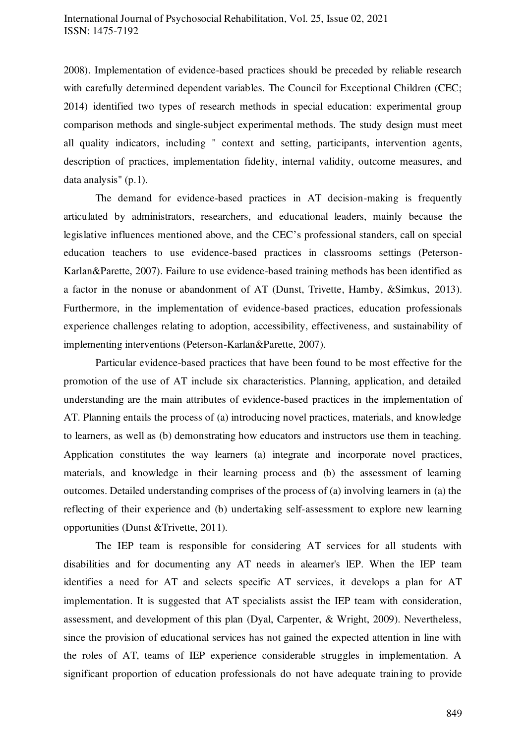2008). Implementation of evidence-based practices should be preceded by reliable research with carefully determined dependent variables. The Council for Exceptional Children (CEC; 2014) identified two types of research methods in special education: experimental group comparison methods and single-subject experimental methods. The study design must meet all quality indicators, including " context and setting, participants, intervention agents, description of practices, implementation fidelity, internal validity, outcome measures, and data analysis" (p.1).

The demand for evidence-based practices in AT decision-making is frequently articulated by administrators, researchers, and educational leaders, mainly because the legislative influences mentioned above, and the CEC's professional standers, call on special education teachers to use evidence-based practices in classrooms settings (Peterson-Karlan&Parette, 2007). Failure to use evidence-based training methods has been identified as a factor in the nonuse or abandonment of AT (Dunst, Trivette, Hamby, &Simkus, 2013). Furthermore, in the implementation of evidence-based practices, education professionals experience challenges relating to adoption, accessibility, effectiveness, and sustainability of implementing interventions (Peterson-Karlan&Parette, 2007).

Particular evidence-based practices that have been found to be most effective for the promotion of the use of AT include six characteristics. Planning, application, and detailed understanding are the main attributes of evidence-based practices in the implementation of AT. Planning entails the process of (a) introducing novel practices, materials, and knowledge to learners, as well as (b) demonstrating how educators and instructors use them in teaching. Application constitutes the way learners (a) integrate and incorporate novel practices, materials, and knowledge in their learning process and (b) the assessment of learning outcomes. Detailed understanding comprises of the process of (a) involving learners in (a) the reflecting of their experience and (b) undertaking self-assessment to explore new learning opportunities (Dunst &Trivette, 2011).

The IEP team is responsible for considering AT services for all students with disabilities and for documenting any AT needs in alearner's lEP. When the IEP team identifies a need for AT and selects specific AT services, it develops a plan for AT implementation. It is suggested that AT specialists assist the IEP team with consideration, assessment, and development of this plan (Dyal, Carpenter, & Wright, 2009). Nevertheless, since the provision of educational services has not gained the expected attention in line with the roles of AT, teams of IEP experience considerable struggles in implementation. A significant proportion of education professionals do not have adequate training to provide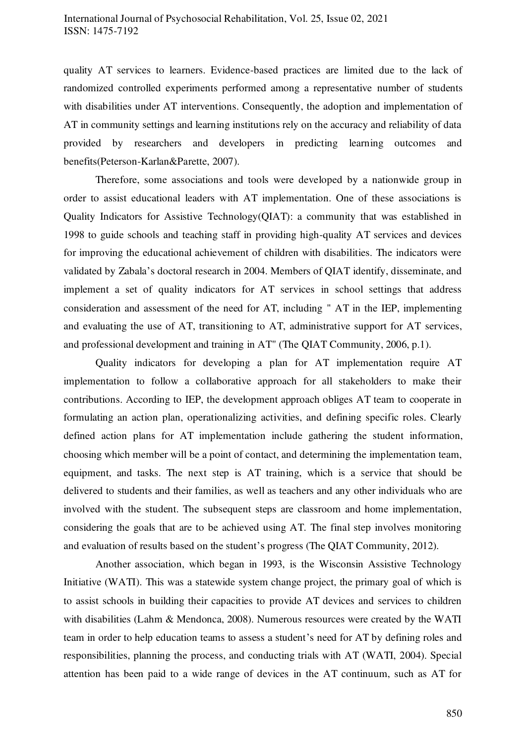quality AT services to learners. Evidence-based practices are limited due to the lack of randomized controlled experiments performed among a representative number of students with disabilities under AT interventions. Consequently, the adoption and implementation of AT in community settings and learning institutions rely on the accuracy and reliability of data provided by researchers and developers in predicting learning outcomes and benefits(Peterson-Karlan&Parette, 2007).

Therefore, some associations and tools were developed by a nationwide group in order to assist educational leaders with AT implementation. One of these associations is Quality Indicators for Assistive Technology(QIAT): a community that was established in 1998 to guide schools and teaching staff in providing high-quality AT services and devices for improving the educational achievement of children with disabilities. The indicators were validated by Zabala's doctoral research in 2004. Members of QIAT identify, disseminate, and implement a set of quality indicators for AT services in school settings that address consideration and assessment of the need for AT, including " AT in the IEP, implementing and evaluating the use of AT, transitioning to AT, administrative support for AT services, and professional development and training in AT" (The QIAT Community, 2006, p.1).

Quality indicators for developing a plan for AT implementation require AT implementation to follow a collaborative approach for all stakeholders to make their contributions. According to IEP, the development approach obliges AT team to cooperate in formulating an action plan, operationalizing activities, and defining specific roles. Clearly defined action plans for AT implementation include gathering the student information, choosing which member will be a point of contact, and determining the implementation team, equipment, and tasks. The next step is AT training, which is a service that should be delivered to students and their families, as well as teachers and any other individuals who are involved with the student. The subsequent steps are classroom and home implementation, considering the goals that are to be achieved using AT. The final step involves monitoring and evaluation of results based on the student's progress (The QIAT Community, 2012).

Another association, which began in 1993, is the Wisconsin Assistive Technology Initiative (WATI). This was a statewide system change project, the primary goal of which is to assist schools in building their capacities to provide AT devices and services to children with disabilities (Lahm & Mendonca, 2008). Numerous resources were created by the WATI team in order to help education teams to assess a student's need for AT by defining roles and responsibilities, planning the process, and conducting trials with AT (WATI, 2004). Special attention has been paid to a wide range of devices in the AT continuum, such as AT for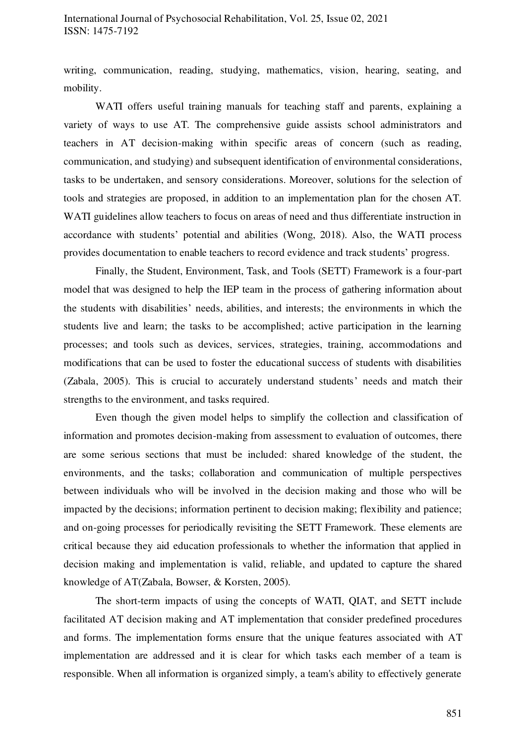# International Journal of Psychosocial Rehabilitation, Vol. 25, Issue 02, 2021 ISSN: 1475-7192

writing, communication, reading, studying, mathematics, vision, hearing, seating, and mobility.

WATI offers useful training manuals for teaching staff and parents, explaining a variety of ways to use AT. The comprehensive guide assists school administrators and teachers in AT decision-making within specific areas of concern (such as reading, communication, and studying) and subsequent identification of environmental considerations, tasks to be undertaken, and sensory considerations. Moreover, solutions for the selection of tools and strategies are proposed, in addition to an implementation plan for the chosen AT. WATI guidelines allow teachers to focus on areas of need and thus differentiate instruction in accordance with students' potential and abilities (Wong, 2018). Also, the WATI process provides documentation to enable teachers to record evidence and track students' progress.

Finally, the Student, Environment, Task, and Tools (SETT) Framework is a four-part model that was designed to help the IEP team in the process of gathering information about the students with disabilities' needs, abilities, and interests; the environments in which the students live and learn; the tasks to be accomplished; active participation in the learning processes; and tools such as devices, services, strategies, training, accommodations and modifications that can be used to foster the educational success of students with disabilities (Zabala, 2005). This is crucial to accurately understand students' needs and match their strengths to the environment, and tasks required.

Even though the given model helps to simplify the collection and classification of information and promotes decision-making from assessment to evaluation of outcomes, there are some serious sections that must be included: shared knowledge of the student, the environments, and the tasks; collaboration and communication of multiple perspectives between individuals who will be involved in the decision making and those who will be impacted by the decisions; information pertinent to decision making; flexibility and patience; and on-going processes for periodically revisiting the SETT Framework. These elements are critical because they aid education professionals to whether the information that applied in decision making and implementation is valid, reliable, and updated to capture the shared knowledge of AT(Zabala, Bowser, & Korsten, 2005).

The short-term impacts of using the concepts of WATI, QIAT, and SETT include facilitated AT decision making and AT implementation that consider predefined procedures and forms. The implementation forms ensure that the unique features associated with AT implementation are addressed and it is clear for which tasks each member of a team is responsible. When all information is organized simply, a team's ability to effectively generate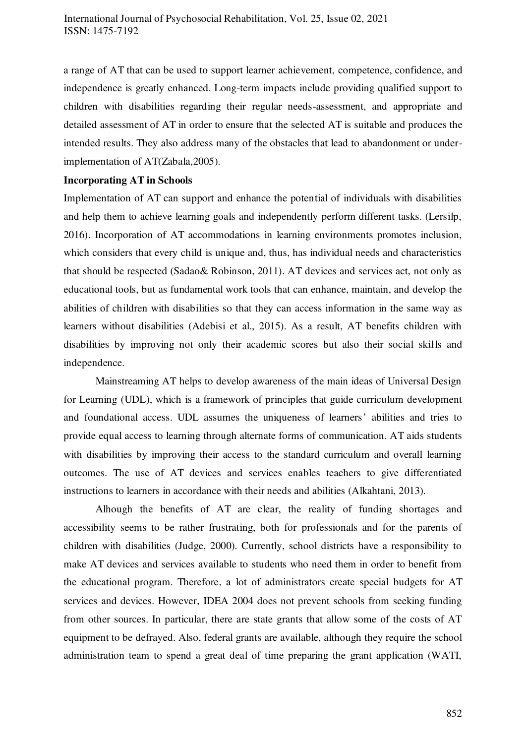a range of AT that can be used to support learner achievement, competence, confidence, and independence is greatly enhanced. Long-term impacts include providing qualified support to children with disabilities regarding their regular needs-assessment, and appropriate and detailed assessment of AT in order to ensure that the selected AT is suitable and produces the intended results. They also address many of the obstacles that lead to abandonment or underimplementation of AT(Zabala,2005).

#### **Incorporating AT in Schools**

Implementation of AT can support and enhance the potential of individuals with disabilities and help them to achieve learning goals and independently perform different tasks. (Lersilp, 2016). Incorporation of AT accommodations in learning environments promotes inclusion, which considers that every child is unique and, thus, has individual needs and characteristics that should be respected (Sadao& Robinson, 2011). AT devices and services act, not only as educational tools, but as fundamental work tools that can enhance, maintain, and develop the abilities of children with disabilities so that they can access information in the same way as learners without disabilities (Adebisi et al., 2015). As a result, AT benefits children with disabilities by improving not only their academic scores but also their social skills and independence.

Mainstreaming AT helps to develop awareness of the main ideas of Universal Design for Learning (UDL), which is a framework of principles that guide curriculum development and foundational access. UDL assumes the uniqueness of learners' abilities and tries to provide equal access to learning through alternate forms of communication. AT aids students with disabilities by improving their access to the standard curriculum and overall learning outcomes. The use of AT devices and services enables teachers to give differentiated instructions to learners in accordance with their needs and abilities (Alkahtani, 2013).

Alhough the benefits of AT are clear, the reality of funding shortages and accessibility seems to be rather frustrating, both for professionals and for the parents of children with disabilities (Judge, 2000). Currently, school districts have a responsibility to make AT devices and services available to students who need them in order to benefit from the educational program. Therefore, a lot of administrators create special budgets for AT services and devices. However, IDEA 2004 does not prevent schools from seeking funding from other sources. In particular, there are state grants that allow some of the costs of AT equipment to be defrayed. Also, federal grants are available, although they require the school administration team to spend a great deal of time preparing the grant application (WATI,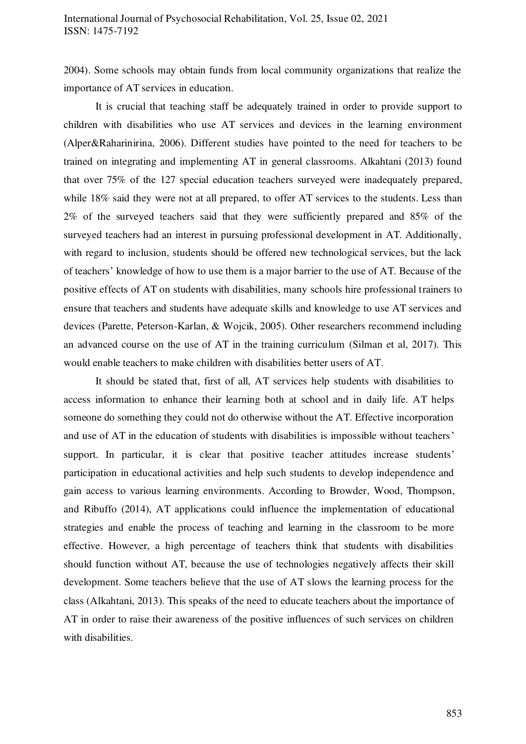2004). Some schools may obtain funds from local community organizations that realize the importance of AT services in education.

It is crucial that teaching staff be adequately trained in order to provide support to children with disabilities who use AT services and devices in the learning environment (Alper&Raharinirina, 2006). Different studies have pointed to the need for teachers to be trained on integrating and implementing AT in general classrooms. Alkahtani (2013) found that over 75% of the 127 special education teachers surveyed were inadequately prepared, while 18% said they were not at all prepared, to offer AT services to the students. Less than 2% of the surveyed teachers said that they were sufficiently prepared and 85% of the surveyed teachers had an interest in pursuing professional development in AT. Additionally, with regard to inclusion, students should be offered new technological services, but the lack of teachers' knowledge of how to use them is a major barrier to the use of AT. Because of the positive effects of AT on students with disabilities, many schools hire professional trainers to ensure that teachers and students have adequate skills and knowledge to use AT services and devices (Parette, Peterson-Karlan, & Wojcik, 2005). Other researchers recommend including an advanced course on the use of AT in the training curriculum (Silman et al, 2017). This would enable teachers to make children with disabilities better users of AT.

It should be stated that, first of all, AT services help students with disabilities to access information to enhance their learning both at school and in daily life. AT helps someone do something they could not do otherwise without the AT. Effective incorporation and use of AT in the education of students with disabilities is impossible without teachers' support. In particular, it is clear that positive teacher attitudes increase students' participation in educational activities and help such students to develop independence and gain access to various learning environments. According to Browder, Wood, Thompson, and Ribuffo (2014), AT applications could influence the implementation of educational strategies and enable the process of teaching and learning in the classroom to be more effective. However, a high percentage of teachers think that students with disabilities should function without AT, because the use of technologies negatively affects their skill development. Some teachers believe that the use of AT slows the learning process for the class (Alkahtani, 2013). This speaks of the need to educate teachers about the importance of AT in order to raise their awareness of the positive influences of such services on children with disabilities.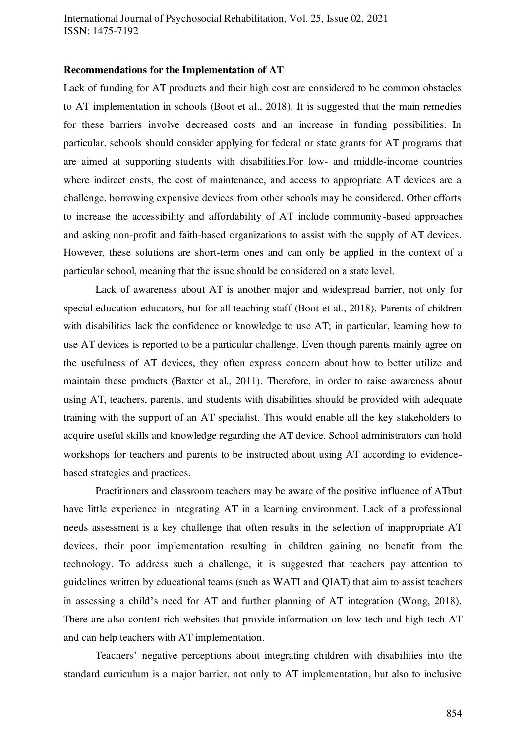#### **Recommendations for the Implementation of AT**

Lack of funding for AT products and their high cost are considered to be common obstacles to AT implementation in schools (Boot et al., 2018). It is suggested that the main remedies for these barriers involve decreased costs and an increase in funding possibilities. In particular, schools should consider applying for federal or state grants for AT programs that are aimed at supporting students with disabilities.For low- and middle-income countries where indirect costs, the cost of maintenance, and access to appropriate AT devices are a challenge, borrowing expensive devices from other schools may be considered. Other efforts to increase the accessibility and affordability of AT include community-based approaches and asking non-profit and faith-based organizations to assist with the supply of AT devices. However, these solutions are short-term ones and can only be applied in the context of a particular school, meaning that the issue should be considered on a state level.

 Lack of awareness about AT is another major and widespread barrier, not only for special education educators, but for all teaching staff (Boot et al., 2018). Parents of children with disabilities lack the confidence or knowledge to use AT; in particular, learning how to use AT devices is reported to be a particular challenge. Even though parents mainly agree on the usefulness of AT devices, they often express concern about how to better utilize and maintain these products (Baxter et al., 2011). Therefore, in order to raise awareness about using AT, teachers, parents, and students with disabilities should be provided with adequate training with the support of an AT specialist. This would enable all the key stakeholders to acquire useful skills and knowledge regarding the AT device. School administrators can hold workshops for teachers and parents to be instructed about using AT according to evidencebased strategies and practices.

 Practitioners and classroom teachers may be aware of the positive influence of ATbut have little experience in integrating AT in a learning environment. Lack of a professional needs assessment is a key challenge that often results in the selection of inappropriate AT devices, their poor implementation resulting in children gaining no benefit from the technology. To address such a challenge, it is suggested that teachers pay attention to guidelines written by educational teams (such as WATI and QIAT) that aim to assist teachers in assessing a child's need for AT and further planning of AT integration (Wong, 2018). There are also content-rich websites that provide information on low-tech and high-tech AT and can help teachers with AT implementation.

 Teachers' negative perceptions about integrating children with disabilities into the standard curriculum is a major barrier, not only to AT implementation, but also to inclusive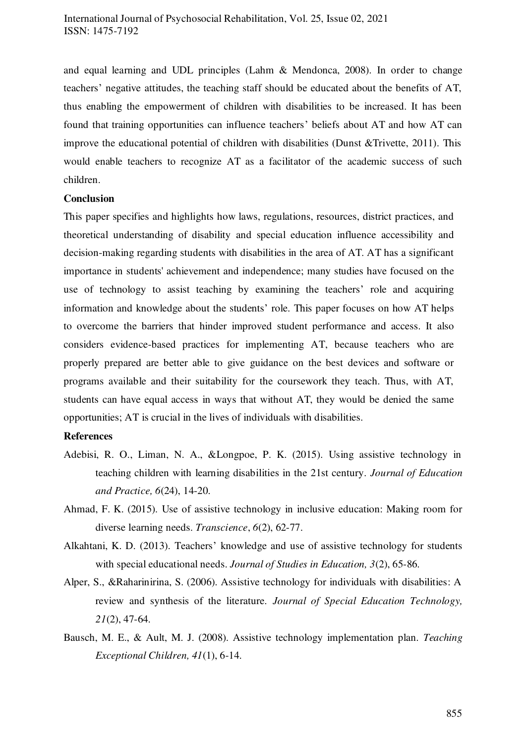and equal learning and UDL principles (Lahm & Mendonca, 2008). In order to change teachers' negative attitudes, the teaching staff should be educated about the benefits of AT, thus enabling the empowerment of children with disabilities to be increased. It has been found that training opportunities can influence teachers' beliefs about AT and how AT can improve the educational potential of children with disabilities (Dunst &Trivette, 2011). This would enable teachers to recognize AT as a facilitator of the academic success of such children.

## **Conclusion**

This paper specifies and highlights how laws, regulations, resources, district practices, and theoretical understanding of disability and special education influence accessibility and decision-making regarding students with disabilities in the area of AT. AT has a significant importance in students' achievement and independence; many studies have focused on the use of technology to assist teaching by examining the teachers' role and acquiring information and knowledge about the students' role. This paper focuses on how AT helps to overcome the barriers that hinder improved student performance and access. It also considers evidence-based practices for implementing AT, because teachers who are properly prepared are better able to give guidance on the best devices and software or programs available and their suitability for the coursework they teach. Thus, with AT, students can have equal access in ways that without AT, they would be denied the same opportunities; AT is crucial in the lives of individuals with disabilities.

#### **References**

- Adebisi, R. O., Liman, N. A., &Longpoe, P. K. (2015). Using assistive technology in teaching children with learning disabilities in the 21st century. *Journal of Education and Practice, 6*(24), 14-20.
- Ahmad, F. K. (2015). Use of assistive technology in inclusive education: Making room for diverse learning needs. *Transcience*, *6*(2), 62-77.
- Alkahtani, K. D. (2013). Teachers' knowledge and use of assistive technology for students with special educational needs. *Journal of Studies in Education, 3*(2), 65-86.
- Alper, S., &Raharinirina, S. (2006). Assistive technology for individuals with disabilities: A review and synthesis of the literature. *Journal of Special Education Technology, 21*(2), 47-64.
- Bausch, M. E., & Ault, M. J. (2008). Assistive technology implementation plan. *Teaching Exceptional Children, 41*(1), 6-14.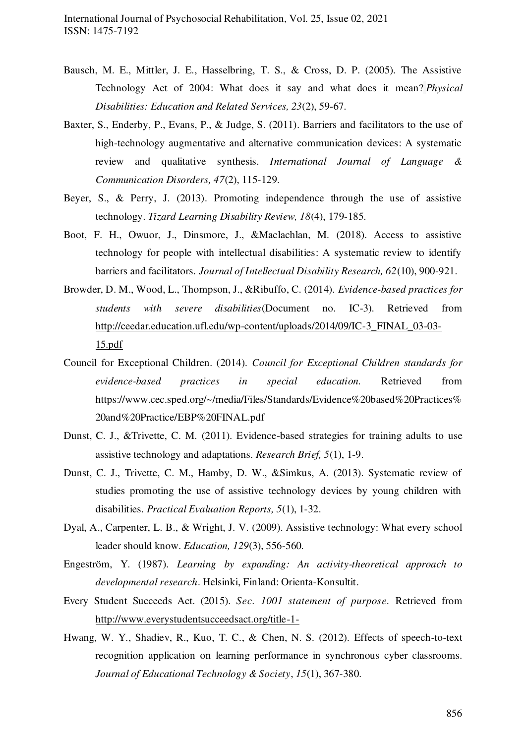- Bausch, M. E., Mittler, J. E., Hasselbring, T. S., & Cross, D. P. (2005). The Assistive Technology Act of 2004: What does it say and what does it mean? *Physical Disabilities: Education and Related Services, 23*(2), 59-67.
- Baxter, S., Enderby, P., Evans, P., & Judge, S. (2011). Barriers and facilitators to the use of high-technology augmentative and alternative communication devices: A systematic review and qualitative synthesis. *International Journal of Language & Communication Disorders, 47*(2), 115-129.
- Beyer, S., & Perry, J. (2013). Promoting independence through the use of assistive technology. *Tizard Learning Disability Review, 18*(4), 179-185.
- Boot, F. H., Owuor, J., Dinsmore, J., &Maclachlan, M. (2018). Access to assistive technology for people with intellectual disabilities: A systematic review to identify barriers and facilitators. *Journal of Intellectual Disability Research, 62*(10), 900-921.
- Browder, D. M., Wood, L., Thompson, J., &Ribuffo, C. (2014). *Evidence-based practices for students with severe disabilities*(Document no. IC-3). Retrieved from [http://ceedar.education.ufl.edu/wp-content/uploads/2014/09/IC-3\\_FINAL\\_03-03-](http://ceedar.education.ufl.edu/wp-content/uploads/2014/09/IC-3_FINAL_03-03-15.pdf) [15.pdf](http://ceedar.education.ufl.edu/wp-content/uploads/2014/09/IC-3_FINAL_03-03-15.pdf)
- Council for Exceptional Children. (2014). *Council for Exceptional Children standards for evidence-based practices in special education.* Retrieved from https://www.cec.sped.org/~/media/Files/Standards/Evidence%20based%20Practices% 20and%20Practice/EBP%20FINAL.pdf
- Dunst, C. J., &Trivette, C. M. (2011). Evidence-based strategies for training adults to use assistive technology and adaptations. *Research Brief, 5*(1), 1-9.
- Dunst, C. J., Trivette, C. M., Hamby, D. W., &Simkus, A. (2013). Systematic review of studies promoting the use of assistive technology devices by young children with disabilities. *Practical Evaluation Reports, 5*(1), 1-32.
- Dyal, A., Carpenter, L. B., & Wright, J. V. (2009). Assistive technology: What every school leader should know. *Education, 129*(3), 556-560.
- Engeström, Y. (1987). *Learning by expanding: An activity-theoretical approach to developmental research*. Helsinki, Finland: Orienta-Konsultit.
- Every Student Succeeds Act. (2015). *Sec. 1001 statement of purpose.* Retrieved from <http://www.everystudentsucceedsact.org/title-1->
- Hwang, W. Y., Shadiev, R., Kuo, T. C., & Chen, N. S. (2012). Effects of speech-to-text recognition application on learning performance in synchronous cyber classrooms. *Journal of Educational Technology & Society*, *15*(1), 367-380.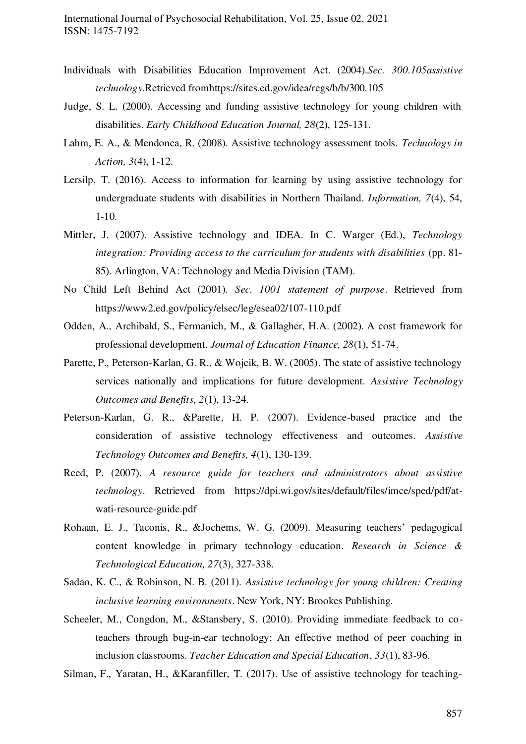- Individuals with Disabilities Education Improvement Act. (2004).*Sec. 300.105assistive technology.*Retrieved fro[mhttps://sites.ed.gov/idea/regs/b/b/300.105](https://sites.ed.gov/idea/regs/b/b/300.105)
- Judge, S. L. (2000). Accessing and funding assistive technology for young children with disabilities. *Early Childhood Education Journal, 28*(2), 125-131.
- Lahm, E. A., & Mendonca, R. (2008). Assistive technology assessment tools. *Technology in Action, 3*(4), 1-12.
- Lersilp, T. (2016). Access to information for learning by using assistive technology for undergraduate students with disabilities in Northern Thailand. *Information, 7*(4), 54, 1-10.
- Mittler, J. (2007). Assistive technology and IDEA. In C. Warger (Ed.), *Technology integration: Providing access to the curriculum for students with disabilities* (pp. 81- 85). Arlington, VA: Technology and Media Division (TAM).
- No Child Left Behind Act (2001). *Sec. 1001 statement of purpose*. Retrieved from https://www2.ed.gov/policy/elsec/leg/esea02/107-110.pdf
- Odden, A., Archibald, S., Fermanich, M., & Gallagher, H.A. (2002). A cost framework for professional development. *Journal of Education Finance, 28*(1), 51-74.
- Parette, P., Peterson-Karlan, G. R., & Wojcik, B. W. (2005). The state of assistive technology services nationally and implications for future development. *Assistive Technology Outcomes and Benefits, 2*(1), 13-24.
- Peterson-Karlan, G. R., &Parette, H. P. (2007). Evidence-based practice and the consideration of assistive technology effectiveness and outcomes. *Assistive Technology Outcomes and Benefits, 4*(1), 130-139.
- Reed, P. (2007). *A resource guide for teachers and administrators about assistive technology*. Retrieved from https://dpi.wi.gov/sites/default/files/imce/sped/pdf/atwati-resource-guide.pdf
- Rohaan, E. J., Taconis, R., &Jochems, W. G. (2009). Measuring teachers' pedagogical content knowledge in primary technology education. *Research in Science & Technological Education, 27*(3), 327-338.
- Sadao, K. C., & Robinson, N. B. (2011). *Assistive technology for young children: Creating inclusive learning environments*. New York, NY: Brookes Publishing.
- Scheeler, M., Congdon, M., &Stansbery, S. (2010). Providing immediate feedback to coteachers through bug-in-ear technology: An effective method of peer coaching in inclusion classrooms. *Teacher Education and Special Education*, *33*(1), 83-96.

Silman, F., Yaratan, H., &Karanfiller, T. (2017). Use of assistive technology for teaching-